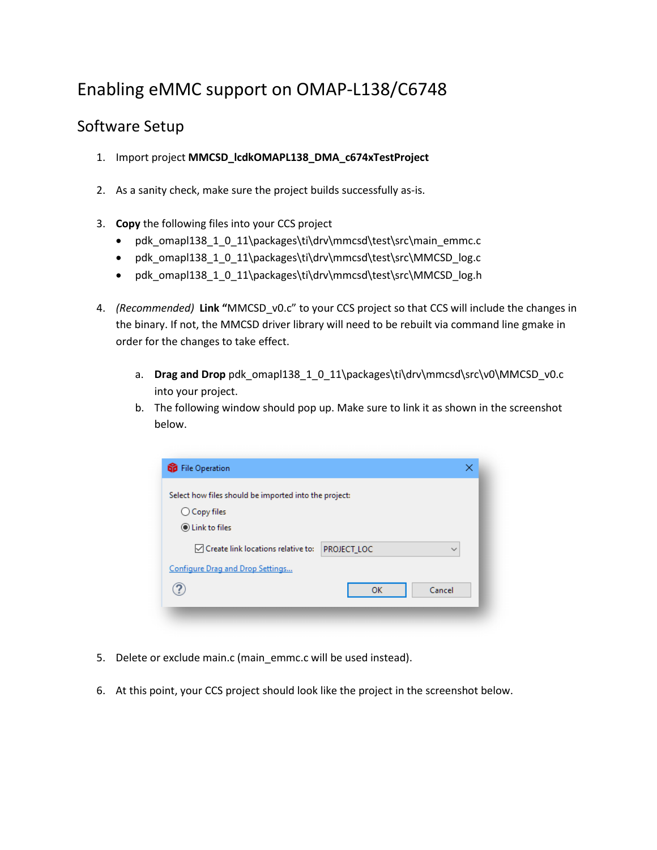# Enabling eMMC support on OMAP-L138/C6748

### Software Setup

- 1. Import project **MMCSD\_lcdkOMAPL138\_DMA\_c674xTestProject**
- 2. As a sanity check, make sure the project builds successfully as-is.
- 3. **Copy** the following files into your CCS project
	- pdk\_omapl138\_1\_0\_11\packages\ti\drv\mmcsd\test\src\main\_emmc.c
	- pdk\_omapl138\_1\_0\_11\packages\ti\drv\mmcsd\test\src\MMCSD\_log.c
	- pdk\_omapl138\_1\_0\_11\packages\ti\drv\mmcsd\test\src\MMCSD\_log.h
- 4. *(Recommended)* **Link "**MMCSD\_v0.c" to your CCS project so that CCS will include the changes in the binary. If not, the MMCSD driver library will need to be rebuilt via command line gmake in order for the changes to take effect.
	- a. **Drag and Drop** pdk\_omapl138\_1\_0\_11\packages\ti\drv\mmcsd\src\v0\MMCSD\_v0.c into your project.
	- b. The following window should pop up. Make sure to link it as shown in the screenshot below.

| <b>GD</b> File Operation                              |             | ×            |
|-------------------------------------------------------|-------------|--------------|
| Select how files should be imported into the project: |             |              |
| $\bigcirc$ Copy files                                 |             |              |
| <b>O</b> Link to files                                |             |              |
| $\vee$ Create link locations relative to:             | PROJECT LOC | $\checkmark$ |
| Configure Drag and Drop Settings                      |             |              |
|                                                       | OK          | Cancel       |
|                                                       |             |              |

- 5. Delete or exclude main.c (main\_emmc.c will be used instead).
- 6. At this point, your CCS project should look like the project in the screenshot below.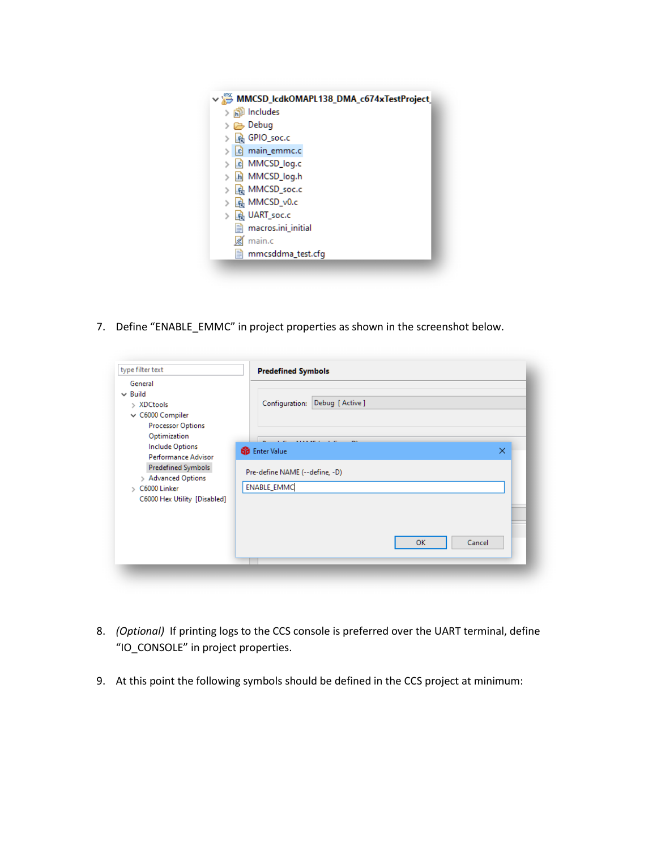

7. Define "ENABLE\_EMMC" in project properties as shown in the screenshot below.

| General                                                                                                                                                   |                                                                               |                  |           |        |
|-----------------------------------------------------------------------------------------------------------------------------------------------------------|-------------------------------------------------------------------------------|------------------|-----------|--------|
| $\vee$ Build<br>> XDCtools<br>$\vee$ C6000 Compiler<br><b>Processor Options</b><br>Optimization                                                           | Configuration:                                                                | Debug [ Active ] |           |        |
| <b>Include Options</b><br>Performance Advisor<br>Predefined Symbols<br>> Advanced Options<br>C6000 Linker<br>$\mathbf{v}$<br>C6000 Hex Utility [Disabled] | <b>GD</b> Enter Value<br>Pre-define NAME (--define, -D)<br><b>ENABLE EMMC</b> |                  |           | ×      |
|                                                                                                                                                           |                                                                               |                  | <b>OK</b> | Cancel |

- 8. *(Optional)* If printing logs to the CCS console is preferred over the UART terminal, define "IO\_CONSOLE" in project properties.
- 9. At this point the following symbols should be defined in the CCS project at minimum: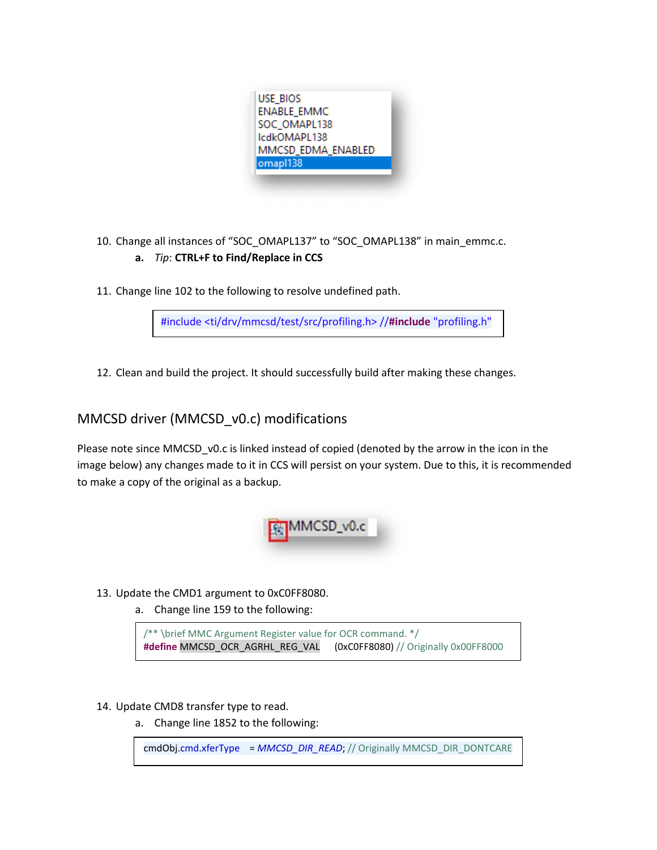

10. Change all instances of "SOC\_OMAPL137" to "SOC\_OMAPL138" in main\_emmc.c.

### **a.** *Tip*: **CTRL+F to Find/Replace in CCS**

11. Change line 102 to the following to resolve undefined path.

#include <ti/drv/mmcsd/test/src/profiling.h> //**#include** "profiling.h"

12. Clean and build the project. It should successfully build after making these changes.

### MMCSD driver (MMCSD\_v0.c) modifications

Please note since MMCSD\_v0.c is linked instead of copied (denoted by the arrow in the icon in the image below) any changes made to it in CCS will persist on your system. Due to this, it is recommended to make a copy of the original as a backup.



- 13. Update the CMD1 argument to 0xC0FF8080.
	- a. Change line 159 to the following:

/\*\* \brief MMC Argument Register value for OCR command. \*/ **#define** MMCSD\_OCR\_AGRHL\_REG\_VAL (0xC0FF8080) // Originally 0x00FF8000

#### 14. Update CMD8 transfer type to read.

a. Change line 1852 to the following:

cmdObj.cmd.xferType = *MMCSD\_DIR\_READ*; // Originally MMCSD\_DIR\_DONTCARE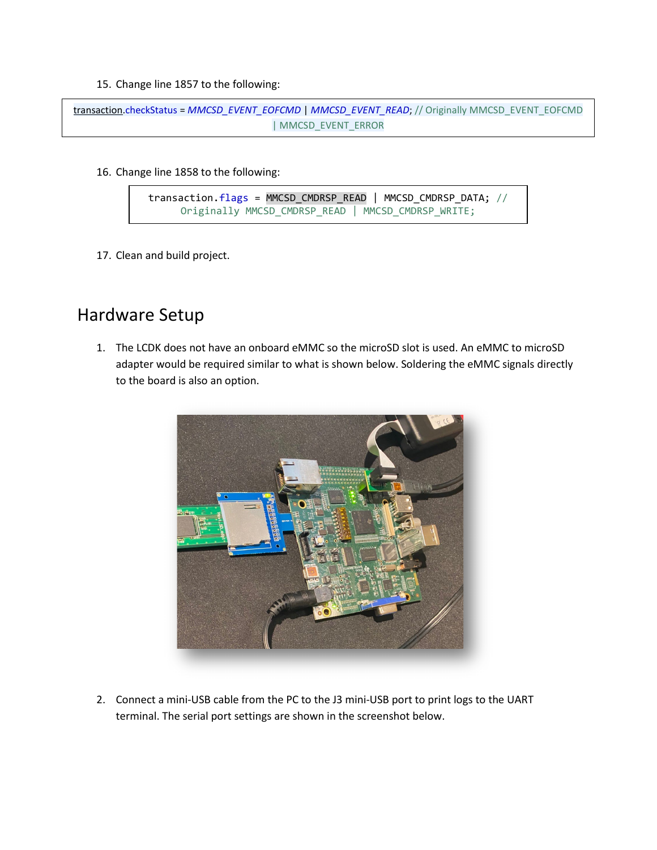15. Change line 1857 to the following:

```
transaction.checkStatus = MMCSD_EVENT_EOFCMD | MMCSD_EVENT_READ; // Originally MMCSD_EVENT_EOFCMD 
                                | MMCSD_EVENT_ERROR
```
16. Change line 1858 to the following:

```
transaction.flags = MMCSD_CMDRSP_READ | MMCSD_CMDRSP_DATA; // 
Originally MMCSD_CMDRSP_READ | MMCSD_CMDRSP_WRITE;
```
17. Clean and build project.

## Hardware Setup

1. The LCDK does not have an onboard eMMC so the microSD slot is used. An eMMC to microSD adapter would be required similar to what is shown below. Soldering the eMMC signals directly to the board is also an option.



2. Connect a mini-USB cable from the PC to the J3 mini-USB port to print logs to the UART terminal. The serial port settings are shown in the screenshot below.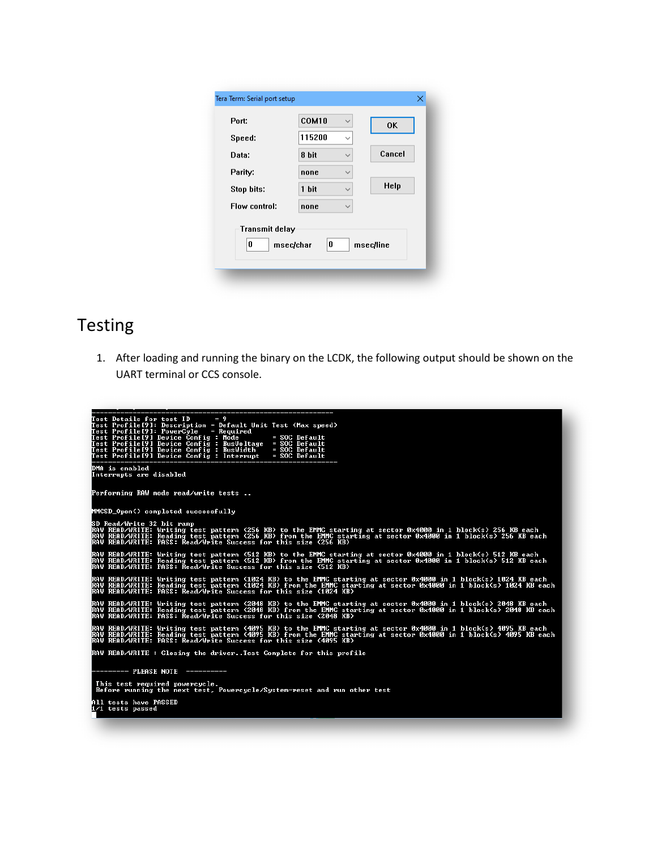| 115200<br>Speed:<br>Cancel<br>8 bit<br>Data: |  |
|----------------------------------------------|--|
|                                              |  |
|                                              |  |
| Parity:<br>none<br>$\checkmark$              |  |
| Help<br>1 bit<br>Stop bits:<br>$\checkmark$  |  |
| Flow control:<br>none                        |  |

# Testing

1. After loading and running the binary on the LCDK, the following output should be shown on the UART terminal or CCS console.

| Test Details for test $ID = 9$<br>Test Profile[9]: Description = Default Unit Test (Max speed)<br>Test Profile[9]: PowerCyle<br>= Required<br>Test Profile[9] Device Config : Mode<br>$=$ SOC Default<br>Test Profile[9] Device Config : BusVoltage = SOC Default<br>Test Profile[9] Device Config : BusVoltage = SOC Default<br>Test Profile[9] Device Config : Interrupt = SOC Default |
|------------------------------------------------------------------------------------------------------------------------------------------------------------------------------------------------------------------------------------------------------------------------------------------------------------------------------------------------------------------------------------------|
| DMA is enabled<br>Interrupts are disabled                                                                                                                                                                                                                                                                                                                                                |
| Performing RAW mode read/write tests                                                                                                                                                                                                                                                                                                                                                     |
| MMCSD_Open() completed successfully                                                                                                                                                                                                                                                                                                                                                      |
| SD Read/Write 32 bit ramp<br>RAW READ/WRITE: Writing test pattern (256 KB) to the EMMC starting at sector 0x4000 in 1 block(s) 256 KB each<br>RAW READ/WRITE: Reading test pattern (256 KB) from the EMMC starting at sector 0x4000 in 1 block(s) 256 KB each<br>RAW READ/WRITE: PASS: Read/Write Success for this size (256 KB)                                                         |
| RAW READ/WRITE: Writing test pattern (512 KB) to the EMMC starting at sector 0x400 <u>0 in 1 block(s) 512 KB each</u><br>RAW READ/WRITE: Reading test pattern (512 KB) from the EMMC starting at sector 0x4000 in 1 block(s) 512 KB each<br>RAW READ/WRITE: PASS: Read/Write Success for this size (512 KB)                                                                              |
| RAW READ∕WRITE: Writing test pattern (1024 KB) to the EMMC starting at sector 0x4000 in 1 block(s) 1024 KB each<br>RAW READ/WRITE: Reading test pattern (1024 KB) from the EMMC starting at sector 0x4000 in 1 block(s) 1024 KB each<br>RAW READ/WRITE: PASS: Read/Write Success for this size (1024 KB)                                                                                 |
| RAW READ/WRITE: Writing test pattern (2048 KB) to the EMMC starting at sector 0x4000 in 1 block(s) 2048 KB each<br>RAW READ/WRITE: Reading test pattern (2048 KB) from the EMMC starting at sector 0x400 <u>0 in 1 block(s) 2048 KB each</u><br>RAW READ/WRITE: PASS: Read/Write Success for this size (2048 KB)                                                                         |
| RAW READ/WRITE: Writing test pattern (4095 KB) to the EMMC starting at sector 0x4000 in 1 block(s) 4095 KB each<br>RAW READ/WRITE: Reading test pattern (4095 KB) from the EMMC starting at sector 0x4000 in 1 block(s) 4095 KB each<br>RAW READ/WRITE: PASS: Řead/Write Success for this size (4095 KB)                                                                                 |
| RAW READ/WRITE : Closing the driverTest Complete for this profile                                                                                                                                                                                                                                                                                                                        |
| --------- PLEASE NOTE ----------                                                                                                                                                                                                                                                                                                                                                         |
| This test required powercycle.<br>Before running the next test, Powercycle/System-reset and run other test                                                                                                                                                                                                                                                                               |
| All tests have PASSED<br>1/1 tests passed                                                                                                                                                                                                                                                                                                                                                |